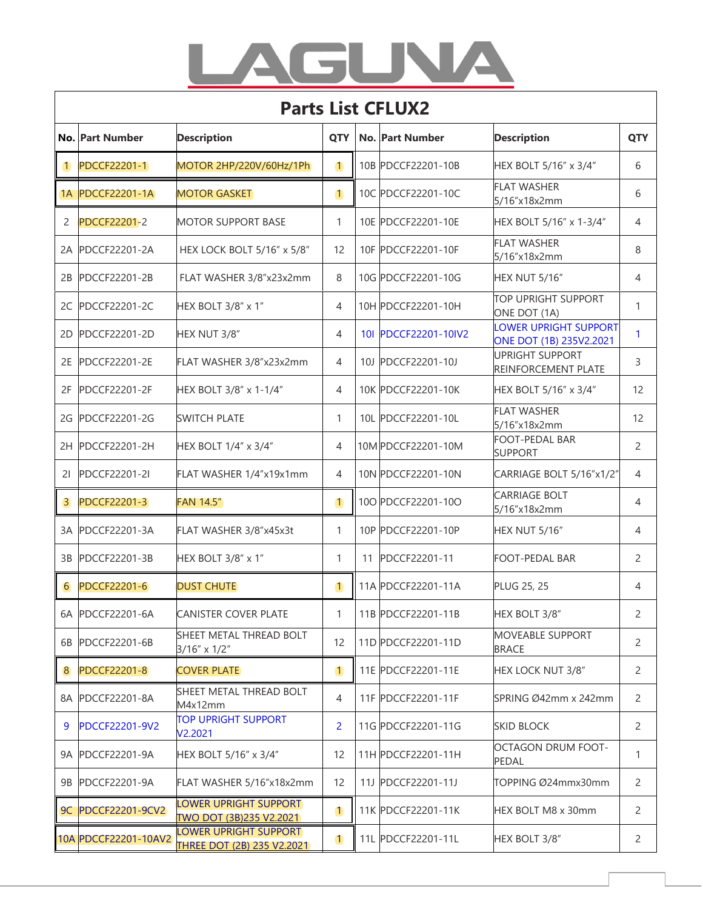

## **Parts List CFLUX2**

|              | PAI IS LISL CFLUAZ     |                                                    |                |    |                        |                                                         |                |  |  |  |  |
|--------------|------------------------|----------------------------------------------------|----------------|----|------------------------|---------------------------------------------------------|----------------|--|--|--|--|
|              | <b>No. Part Number</b> | <b>Description</b>                                 | <b>QTY</b>     |    | <b>No. Part Number</b> | <b>Description</b>                                      | <b>QTY</b>     |  |  |  |  |
| $\mathbf{1}$ | <b>PDCCF22201-1</b>    | MOTOR 2HP/220V/60Hz/1Ph                            | $\mathbf{1}$   |    | 10B PDCCF22201-10B     | HEX BOLT 5/16" x 3/4"                                   | 6              |  |  |  |  |
| 1A           | <b>PDCCF22201-1A</b>   | <b>MOTOR GASKET</b>                                | $\mathbf{1}$   |    | 10C PDCCF22201-10C     | <b>FLAT WASHER</b><br>5/16"x18x2mm                      | 6              |  |  |  |  |
| 2            | <b>PDCCF22201-2</b>    | <b>MOTOR SUPPORT BASE</b>                          | 1              |    | 10E PDCCF22201-10E     | HEX BOLT 5/16" x 1-3/4"                                 | 4              |  |  |  |  |
| 2A           | PDCCF22201-2A          | HEX LOCK BOLT 5/16" x 5/8"                         | 12             |    | 10F PDCCF22201-10F     | <b>FLAT WASHER</b><br>5/16"x18x2mm                      | 8              |  |  |  |  |
| 2B           | PDCCF22201-2B          | FLAT WASHER 3/8"x23x2mm                            | 8              |    | 10G PDCCF22201-10G     | HEX NUT 5/16"                                           | $\overline{4}$ |  |  |  |  |
| 2C           | PDCCF22201-2C          | <b>HEX BOLT 3/8" x 1"</b>                          | 4              |    | 10H PDCCF22201-10H     | TOP UPRIGHT SUPPORT<br>ONE DOT (1A)                     | 1              |  |  |  |  |
| 2D           | PDCCF22201-2D          | HEX NUT 3/8"                                       | 4              |    | 10  PDCCF22201-10IV2   | <b>LOWER UPRIGHT SUPPORT</b><br>ONE DOT (1B) 235V2.2021 | 1              |  |  |  |  |
| 2E           | PDCCF22201-2E          | FLAT WASHER 3/8"x23x2mm                            | 4              |    | 10J PDCCF22201-10J     | <b>UPRIGHT SUPPORT</b><br>REINFORCEMENT PLATE           | 3              |  |  |  |  |
| 2F           | PDCCF22201-2F          | HEX BOLT 3/8" x 1-1/4"                             | 4              |    | 10K PDCCF22201-10K     | HEX BOLT 5/16" x 3/4"                                   | 12             |  |  |  |  |
| 2G           | PDCCF22201-2G          | <b>SWITCH PLATE</b>                                | $\mathbf{1}$   |    | 10L PDCCF22201-10L     | <b>FLAT WASHER</b><br>5/16"x18x2mm                      | 12             |  |  |  |  |
| 2H           | PDCCF22201-2H          | HEX BOLT 1/4" x 3/4"                               | 4              |    | 10M PDCCF22201-10M     | <b>FOOT-PEDAL BAR</b><br><b>SUPPORT</b>                 | $\overline{2}$ |  |  |  |  |
| 21           | PDCCF22201-2I          | FLAT WASHER 1/4"x19x1mm                            | 4              |    | 10N PDCCF22201-10N     | CARRIAGE BOLT 5/16"x1/2"                                | 4              |  |  |  |  |
| 3            | <b>PDCCF22201-3</b>    | <b>FAN 14.5"</b>                                   | $\overline{1}$ |    | 100 PDCCF22201-100     | <b>CARRIAGE BOLT</b><br>5/16"x18x2mm                    | 4              |  |  |  |  |
|              | 3A PDCCF22201-3A       | FLAT WASHER 3/8"x45x3t                             | 1              |    | 10P PDCCF22201-10P     | <b>HEX NUT 5/16"</b>                                    | 4              |  |  |  |  |
| 3B           | PDCCF22201-3B          | <b>HEX BOLT 3/8" x 1"</b>                          | $\mathbf{1}$   | 11 | PDCCF22201-11          | <b>FOOT-PEDAL BAR</b>                                   | 2              |  |  |  |  |
| 6            | <b>PDCCF22201-6</b>    | <b>DUST CHUTE</b>                                  | $\mathbf{1}$   |    | 11A PDCCF22201-11A     | <b>PLUG 25, 25</b>                                      | 4              |  |  |  |  |
|              | 6A PDCCF22201-6A       | <b>CANISTER COVER PLATE</b>                        | $\mathbf{1}$   |    | 11B PDCCF22201-11B     | HEX BOLT 3/8"                                           | $\overline{2}$ |  |  |  |  |
| 6B           | PDCCF22201-6B          | SHEET METAL THREAD BOLT<br>$3/16'' \times 1/2''$   | 12             |    | 11D PDCCF22201-11D     | MOVEABLE SUPPORT<br><b>BRACE</b>                        | 2              |  |  |  |  |
| 8            | <b>PDCCF22201-8</b>    | <b>COVER PLATE</b>                                 | $\vert$ 1      |    | 11E PDCCF22201-11E     | <b>HEX LOCK NUT 3/8"</b>                                | 2              |  |  |  |  |
| 8Α           | PDCCF22201-8A          | SHEET METAL THREAD BOLT<br>M4x12mm                 | 4              |    | 11F PDCCF22201-11F     | SPRING Ø42mm x 242mm                                    | 2              |  |  |  |  |
| 9            | PDCCF22201-9V2         | <b>TOP UPRIGHT SUPPORT</b><br>V2.2021              | 2              |    | 11G PDCCF22201-11G     | <b>SKID BLOCK</b>                                       | 2              |  |  |  |  |
|              | 9A PDCCF22201-9A       | HEX BOLT 5/16" x 3/4"                              | 12             |    | 11H PDCCF22201-11H     | <b>OCTAGON DRUM FOOT-</b><br>PEDAL                      | 1              |  |  |  |  |
| 9B           | PDCCF22201-9A          | FLAT WASHER 5/16"x18x2mm                           | 12             |    | 11J PDCCF22201-11J     | TOPPING Ø24mmx30mm                                      | 2              |  |  |  |  |
|              | 9C PDCCF22201-9CV2     | LOWER UPRIGHT SUPPORT<br>TWO DOT (3B)235 V2.2021)  | $\mathbf{1}$   |    | 11K PDCCF22201-11K     | HEX BOLT M8 x 30mm                                      | 2              |  |  |  |  |
|              | 10A PDCCF22201-10AV2   | OWER UPRIGHT SUPPORT<br>THREE DOT (2B) 235 V2.2021 | $\mathbf{1}$   |    | 11L PDCCF22201-11L     | HEX BOLT 3/8"                                           | $\overline{2}$ |  |  |  |  |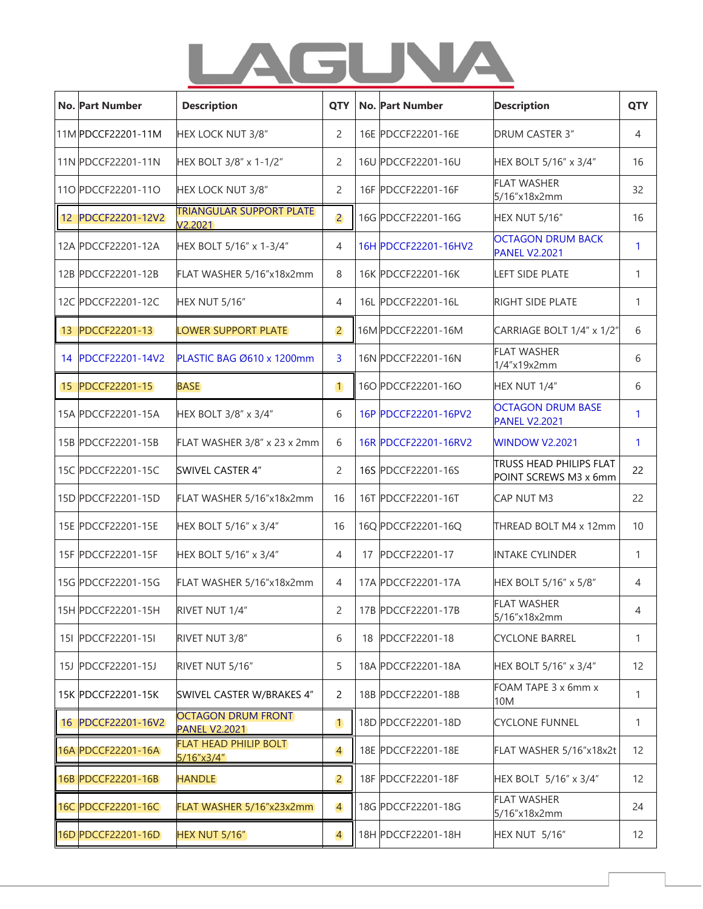## LAGUNA

|                 | <b>No. Part Number</b> | <b>Description</b>                                | <b>QTY</b>     |    | <b>No. Part Number</b> | <b>Description</b>                               | <b>QTY</b>        |
|-----------------|------------------------|---------------------------------------------------|----------------|----|------------------------|--------------------------------------------------|-------------------|
|                 | 11M PDCCF22201-11M     | <b>HEX LOCK NUT 3/8"</b>                          | $\overline{2}$ |    | 16E PDCCF22201-16E     | <b>DRUM CASTER 3"</b>                            | 4                 |
|                 | 11N PDCCF22201-11N     | HEX BOLT 3/8" x 1-1/2"                            | 2              |    | 16U PDCCF22201-16U     | HEX BOLT 5/16" x 3/4"                            | 16                |
|                 | 110 PDCCF22201-110     | <b>HEX LOCK NUT 3/8"</b>                          | $\overline{2}$ |    | 16F PDCCF22201-16F     | <b>FLAT WASHER</b><br>5/16"x18x2mm               | 32                |
|                 | 12 PDCCF22201-12V2     | <b>TRIANGULAR SUPPORT PLATE</b><br>V2.2021        | $\overline{2}$ |    | 16G PDCCF22201-16G     | <b>HEX NUT 5/16"</b>                             | 16                |
|                 | 12A PDCCF22201-12A     | HEX BOLT 5/16" x 1-3/4"                           | 4              |    | 16H PDCCF22201-16HV2   | <b>OCTAGON DRUM BACK</b><br><b>PANEL V2.2021</b> | $\mathbf{1}$      |
|                 | 12B PDCCF22201-12B     | FLAT WASHER 5/16"x18x2mm                          | 8              |    | 16K PDCCF22201-16K     | <b>LEFT SIDE PLATE</b>                           | 1                 |
|                 | 12C PDCCF22201-12C     | <b>HEX NUT 5/16"</b>                              | 4              |    | 16L PDCCF22201-16L     | <b>RIGHT SIDE PLATE</b>                          | 1                 |
| 13 <sup>°</sup> | PDCCF22201-13          | <b>LOWER SUPPORT PLATE</b>                        | $\overline{2}$ |    | 16M PDCCF22201-16M     | CARRIAGE BOLT 1/4" x 1/2"                        | 6                 |
| 14              | PDCCF22201-14V2        | PLASTIC BAG Ø610 x 1200mm                         | 3              |    | 16N PDCCF22201-16N     | <b>FLAT WASHER</b><br>1/4"x19x2mm                | 6                 |
|                 | 15 PDCCF22201-15       | <b>BASE</b>                                       | $\mathbf{1}$   |    | 160 PDCCF22201-16O     | HEX NUT 1/4"                                     | 6                 |
|                 | 15A PDCCF22201-15A     | HEX BOLT 3/8" x 3/4"                              | 6              |    | 16P PDCCF22201-16PV2   | <b>OCTAGON DRUM BASE</b><br><b>PANEL V2.2021</b> | $\mathbf{1}$      |
|                 | 15B PDCCF22201-15B     | FLAT WASHER 3/8" x 23 x 2mm                       | 6              |    | 16R PDCCF22201-16RV2   | <b>WINDOW V2.2021</b>                            | $\mathbf{1}$      |
|                 | 15C PDCCF22201-15C     | <b>SWIVEL CASTER 4"</b>                           | $\overline{c}$ |    | 16S PDCCF22201-16S     | TRUSS HEAD PHILIPS FLAT<br>POINT SCREWS M3 x 6mm | 22                |
|                 | 15D PDCCF22201-15D     | FLAT WASHER 5/16"x18x2mm                          | 16             |    | 16T PDCCF22201-16T     | CAP NUT M3                                       | 22                |
|                 | 15E PDCCF22201-15E     | HEX BOLT 5/16" x 3/4"                             | 16             |    | 16Q PDCCF22201-16Q     | THREAD BOLT M4 x 12mm                            | 10                |
|                 | 15F PDCCF22201-15F     | HEX BOLT 5/16" x 3/4"                             | 4              | 17 | PDCCF22201-17          | <b>INTAKE CYLINDER</b>                           | 1                 |
|                 | 15G PDCCF22201-15G     | FLAT WASHER 5/16"x18x2mm                          | 4              |    | 17A PDCCF22201-17A     | HEX BOLT 5/16" x 5/8"                            | 4                 |
|                 | 15H PDCCF22201-15H     | RIVET NUT 1/4"                                    | 2              |    | 17B PDCCF22201-17B     | <b>FLAT WASHER</b><br>5/16"x18x2mm               | 4                 |
|                 | 15I PDCCF22201-15I     | RIVET NUT 3/8"                                    | 6              |    | 18 PDCCF22201-18       | <b>CYCLONE BARREL</b>                            | 1                 |
|                 | 15J PDCCF22201-15J     | RIVET NUT 5/16"                                   | 5              |    | 18A PDCCF22201-18A     | HEX BOLT 5/16" x 3/4"                            | 12                |
|                 | 15K PDCCF22201-15K     | SWIVEL CASTER W/BRAKES 4"                         | 2              |    | 18B PDCCF22201-18B     | FOAM TAPE 3 x 6mm x<br>10M                       | 1                 |
|                 | 16 PDCCF22201-16V2     | <b>OCTAGON DRUM FRONT</b><br><b>PANEL V2.2021</b> | $\mathbf{1}$   |    | 18D PDCCF22201-18D     | <b>CYCLONE FUNNEL</b>                            | 1                 |
|                 | 16A PDCCF22201-16A     | <b>FLAT HEAD PHILIP BOLT</b><br>5/16"x3/4"        | $\overline{4}$ |    | 18E PDCCF22201-18E     | FLAT WASHER 5/16"x18x2t                          | 12                |
|                 | 16B PDCCF22201-16B     | <b>HANDLE</b>                                     | $\overline{2}$ |    | 18F PDCCF22201-18F     | HEX BOLT 5/16" x 3/4"                            | $12 \overline{ }$ |
|                 | 16C PDCCF22201-16C     | FLAT WASHER 5/16"x23x2mm                          | $\overline{4}$ |    | 18G PDCCF22201-18G     | <b>FLAT WASHER</b><br>5/16"x18x2mm               | 24                |
|                 | 16D PDCCF22201-16D     | <b>HEX NUT 5/16"</b>                              | $\overline{4}$ |    | 18H PDCCF22201-18H     | HEX NUT 5/16"                                    | 12                |